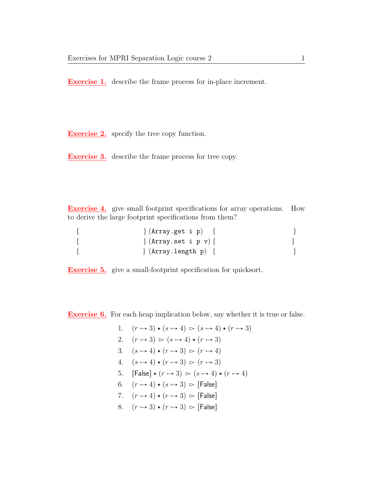Exercise 1. describe the frame process for in-place increment.

**Exercise 2.** specify the tree copy function.

Exercise 3. describe the frame process for tree copy.

Exercise 4. give small footprint specifications for array operations. How to derive the large footprint specifications from them?

{  $\{$   $\}$   $(Array.get i p)$  {  $\{$   $\}$   $\{Array.set i p v)\}$ {  $\{ \text{Array.length p} \}$ 

Exercise 5. give a small-footprint specification for quicksort.

Exercise 6. For each heap implication below, say whether it is true or false.

1.  $(r \mapsto 3) \star (s \mapsto 4) \succ (s \mapsto 4) \star (r \mapsto 3)$ 2.  $(r \mapsto 3) \ge (s \mapsto 4) \star (r \mapsto 3)$ 3.  $(s \mapsto 4) \star (r \mapsto 3) \ge (r \mapsto 4)$ 4.  $(s \mapsto 4) \star (r \mapsto 3) \simeq (r \mapsto 3)$ 5.  $\text{[False]} \star (r \mapsto 3) \succ (s \mapsto 4) \star (r \mapsto 4)$ 6.  $(r \mapsto 4) \star (s \mapsto 3)$   $\triangleright$  [False] 7.  $(r \mapsto 4) \star (r \mapsto 3)$   $\triangleright$  [False] 8.  $(r \mapsto 3) \star (r \mapsto 3) \geq$  [False]